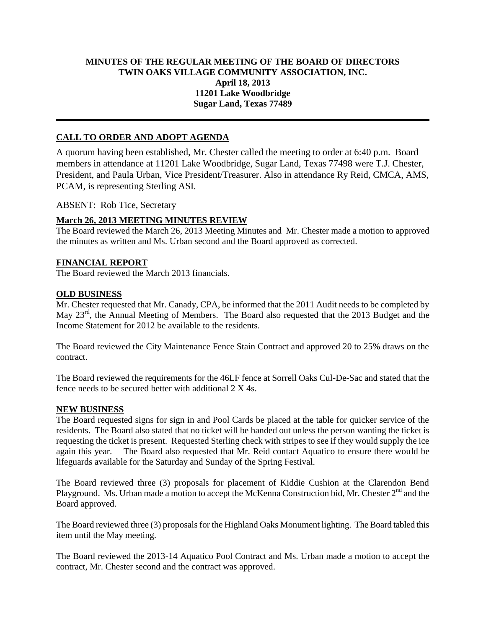## **MINUTES OF THE REGULAR MEETING OF THE BOARD OF DIRECTORS TWIN OAKS VILLAGE COMMUNITY ASSOCIATION, INC. April 18, 2013 11201 Lake Woodbridge Sugar Land, Texas 77489**

# **CALL TO ORDER AND ADOPT AGENDA**

A quorum having been established, Mr. Chester called the meeting to order at 6:40 p.m. Board members in attendance at 11201 Lake Woodbridge, Sugar Land, Texas 77498 were T.J. Chester, President, and Paula Urban, Vice President/Treasurer. Also in attendance Ry Reid, CMCA, AMS, PCAM, is representing Sterling ASI.

ABSENT: Rob Tice, Secretary

### **March 26, 2013 MEETING MINUTES REVIEW**

The Board reviewed the March 26, 2013 Meeting Minutes and Mr. Chester made a motion to approved the minutes as written and Ms. Urban second and the Board approved as corrected.

### **FINANCIAL REPORT**

The Board reviewed the March 2013 financials.

#### **OLD BUSINESS**

Mr. Chester requested that Mr. Canady, CPA, be informed that the 2011 Audit needs to be completed by May 23<sup>rd</sup>, the Annual Meeting of Members. The Board also requested that the 2013 Budget and the Income Statement for 2012 be available to the residents.

The Board reviewed the City Maintenance Fence Stain Contract and approved 20 to 25% draws on the contract.

The Board reviewed the requirements for the 46LF fence at Sorrell Oaks Cul-De-Sac and stated that the fence needs to be secured better with additional 2 X 4s.

#### **NEW BUSINESS**

The Board requested signs for sign in and Pool Cards be placed at the table for quicker service of the residents. The Board also stated that no ticket will be handed out unless the person wanting the ticket is requesting the ticket is present. Requested Sterling check with stripes to see if they would supply the ice again this year. The Board also requested that Mr. Reid contact Aquatico to ensure there would be lifeguards available for the Saturday and Sunday of the Spring Festival.

The Board reviewed three (3) proposals for placement of Kiddie Cushion at the Clarendon Bend Playground. Ms. Urban made a motion to accept the McKenna Construction bid, Mr. Chester 2<sup>nd</sup> and the Board approved.

The Board reviewed three (3) proposals for the Highland Oaks Monument lighting. The Board tabled this item until the May meeting.

The Board reviewed the 2013-14 Aquatico Pool Contract and Ms. Urban made a motion to accept the contract, Mr. Chester second and the contract was approved.